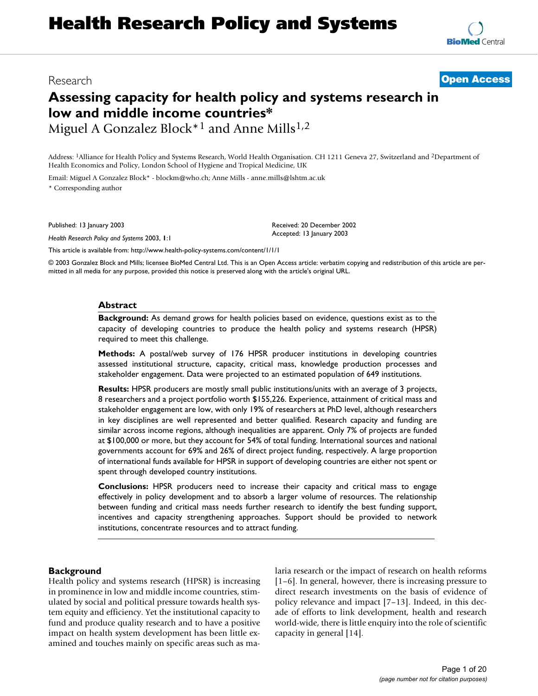## Research **[Open Access](http://www.biomedcentral.com/info/about/charter/)**

# **Assessing capacity for health policy and systems research in low and middle income countries\*** Miguel A Gonzalez Block<sup>\*1</sup> and Anne Mills<sup>1,2</sup>

Address: 1Alliance for Health Policy and Systems Research, World Health Organisation. CH 1211 Geneva 27, Switzerland and 2Department of Health Economics and Policy, London School of Hygiene and Tropical Medicine, UK

Email: Miguel A Gonzalez Block\* - blockm@who.ch; Anne Mills - anne.mills@lshtm.ac.uk \* Corresponding author

Published: 13 January 2003

*Health Research Policy and Systems* 2003, **1**:1

Received: 20 December 2002 Accepted: 13 January 2003

[This article is available from: http://www.health-policy-systems.com/content/1/1/1](http://www.health-policy-systems.com/content/1/1/1)

© 2003 Gonzalez Block and Mills; licensee BioMed Central Ltd. This is an Open Access article: verbatim copying and redistribution of this article are permitted in all media for any purpose, provided this notice is preserved along with the article's original URL.

### **Abstract**

**Background:** As demand grows for health policies based on evidence, questions exist as to the capacity of developing countries to produce the health policy and systems research (HPSR) required to meet this challenge.

**Methods:** A postal/web survey of 176 HPSR producer institutions in developing countries assessed institutional structure, capacity, critical mass, knowledge production processes and stakeholder engagement. Data were projected to an estimated population of 649 institutions.

**Results:** HPSR producers are mostly small public institutions/units with an average of 3 projects, 8 researchers and a project portfolio worth \$155,226. Experience, attainment of critical mass and stakeholder engagement are low, with only 19% of researchers at PhD level, although researchers in key disciplines are well represented and better qualified. Research capacity and funding are similar across income regions, although inequalities are apparent. Only 7% of projects are funded at \$100,000 or more, but they account for 54% of total funding. International sources and national governments account for 69% and 26% of direct project funding, respectively. A large proportion of international funds available for HPSR in support of developing countries are either not spent or spent through developed country institutions.

**Conclusions:** HPSR producers need to increase their capacity and critical mass to engage effectively in policy development and to absorb a larger volume of resources. The relationship between funding and critical mass needs further research to identify the best funding support, incentives and capacity strengthening approaches. Support should be provided to network institutions, concentrate resources and to attract funding.

### **Background**

Health policy and systems research (HPSR) is increasing in prominence in low and middle income countries, stimulated by social and political pressure towards health system equity and efficiency. Yet the institutional capacity to fund and produce quality research and to have a positive impact on health system development has been little examined and touches mainly on specific areas such as malaria research or the impact of research on health reforms [1–6]. In general, however, there is increasing pressure to direct research investments on the basis of evidence of policy relevance and impact [7–13]. Indeed, in this decade of efforts to link development, health and research world-wide, there is little enquiry into the role of scientific capacity in general [14].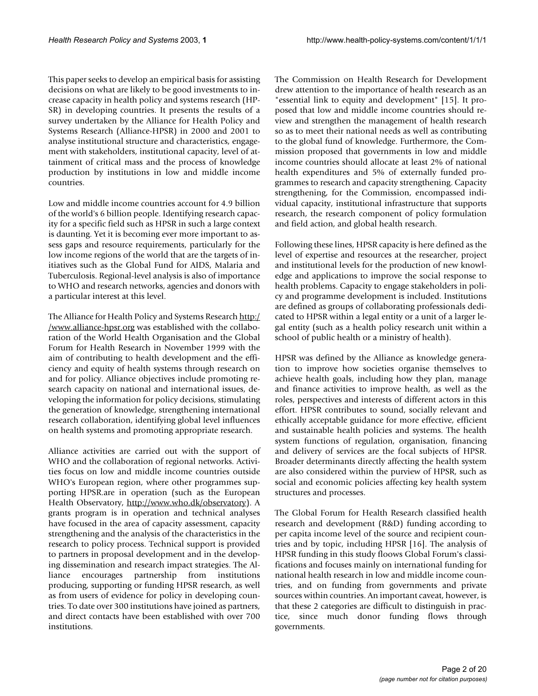This paper seeks to develop an empirical basis for assisting decisions on what are likely to be good investments to increase capacity in health policy and systems research (HP-SR) in developing countries. It presents the results of a survey undertaken by the Alliance for Health Policy and Systems Research (Alliance-HPSR) in 2000 and 2001 to analyse institutional structure and characteristics, engagement with stakeholders, institutional capacity, level of attainment of critical mass and the process of knowledge production by institutions in low and middle income countries.

Low and middle income countries account for 4.9 billion of the world's 6 billion people. Identifying research capacity for a specific field such as HPSR in such a large context is daunting. Yet it is becoming ever more important to assess gaps and resource requirements, particularly for the low income regions of the world that are the targets of initiatives such as the Global Fund for AIDS, Malaria and Tuberculosis. Regional-level analysis is also of importance to WHO and research networks, agencies and donors with a particular interest at this level.

The Alliance for Health Policy and Systems Research [http:/](http://www.alliance-hpsr.org) [/www.alliance-hpsr.org](http://www.alliance-hpsr.org) was established with the collaboration of the World Health Organisation and the Global Forum for Health Research in November 1999 with the aim of contributing to health development and the efficiency and equity of health systems through research on and for policy. Alliance objectives include promoting research capacity on national and international issues, developing the information for policy decisions, stimulating the generation of knowledge, strengthening international research collaboration, identifying global level influences on health systems and promoting appropriate research.

Alliance activities are carried out with the support of WHO and the collaboration of regional networks. Activities focus on low and middle income countries outside WHO's European region, where other programmes supporting HPSR.are in operation (such as the European Health Observatory, <http://www.who.dk/observatory>). A grants program is in operation and technical analyses have focused in the area of capacity assessment, capacity strengthening and the analysis of the characteristics in the research to policy process. Technical support is provided to partners in proposal development and in the developing dissemination and research impact strategies. The Alliance encourages partnership from institutions producing, supporting or funding HPSR research, as well as from users of evidence for policy in developing countries. To date over 300 institutions have joined as partners, and direct contacts have been established with over 700 institutions.

The Commission on Health Research for Development drew attention to the importance of health research as an "essential link to equity and development" [15]. It proposed that low and middle income countries should review and strengthen the management of health research so as to meet their national needs as well as contributing to the global fund of knowledge. Furthermore, the Commission proposed that governments in low and middle income countries should allocate at least 2% of national health expenditures and 5% of externally funded programmes to research and capacity strengthening. Capacity strengthening, for the Commission, encompassed individual capacity, institutional infrastructure that supports research, the research component of policy formulation and field action, and global health research.

Following these lines, HPSR capacity is here defined as the level of expertise and resources at the researcher, project and institutional levels for the production of new knowledge and applications to improve the social response to health problems. Capacity to engage stakeholders in policy and programme development is included. Institutions are defined as groups of collaborating professionals dedicated to HPSR within a legal entity or a unit of a larger legal entity (such as a health policy research unit within a school of public health or a ministry of health).

HPSR was defined by the Alliance as knowledge generation to improve how societies organise themselves to achieve health goals, including how they plan, manage and finance activities to improve health, as well as the roles, perspectives and interests of different actors in this effort. HPSR contributes to sound, socially relevant and ethically acceptable guidance for more effective, efficient and sustainable health policies and systems. The health system functions of regulation, organisation, financing and delivery of services are the focal subjects of HPSR. Broader determinants directly affecting the health system are also considered within the purview of HPSR, such as social and economic policies affecting key health system structures and processes.

The Global Forum for Health Research classified health research and development (R&D) funding according to per capita income level of the source and recipient countries and by topic, including HPSR [16]. The analysis of HPSR funding in this study floows Global Forum's classifications and focuses mainly on international funding for national health research in low and middle income countries, and on funding from governments and private sources within countries. An important caveat, however, is that these 2 categories are difficult to distinguish in practice, since much donor funding flows through governments.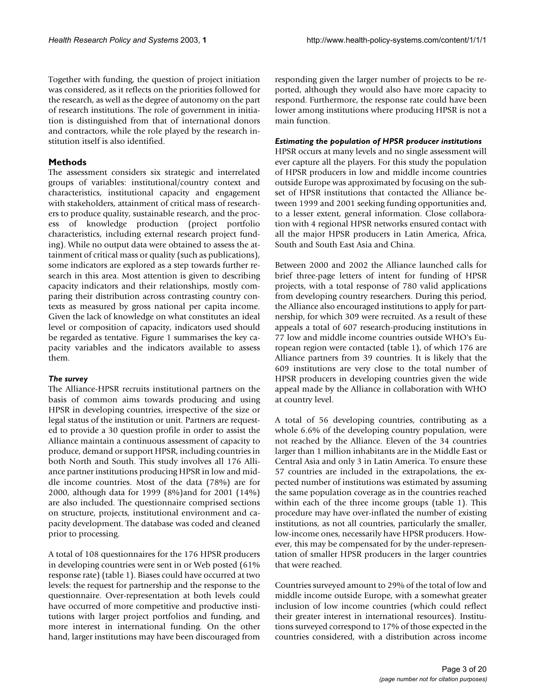Together with funding, the question of project initiation was considered, as it reflects on the priorities followed for the research, as well as the degree of autonomy on the part of research institutions. The role of government in initiation is distinguished from that of international donors and contractors, while the role played by the research institution itself is also identified.

## **Methods**

The assessment considers six strategic and interrelated groups of variables: institutional/country context and characteristics, institutional capacity and engagement with stakeholders, attainment of critical mass of researchers to produce quality, sustainable research, and the process of knowledge production (project portfolio characteristics, including external research project funding). While no output data were obtained to assess the attainment of critical mass or quality (such as publications), some indicators are explored as a step towards further research in this area. Most attention is given to describing capacity indicators and their relationships, mostly comparing their distribution across contrasting country contexts as measured by gross national per capita income. Given the lack of knowledge on what constitutes an ideal level or composition of capacity, indicators used should be regarded as tentative. Figure [1](#page-3-0) summarises the key capacity variables and the indicators available to assess them.

## *The survey*

The Alliance-HPSR recruits institutional partners on the basis of common aims towards producing and using HPSR in developing countries, irrespective of the size or legal status of the institution or unit. Partners are requested to provide a 30 question profile in order to assist the Alliance maintain a continuous assessment of capacity to produce, demand or support HPSR, including countries in both North and South. This study involves all 176 Alliance partner institutions producing HPSR in low and middle income countries. Most of the data (78%) are for 2000, although data for 1999 (8%)and for 2001 (14%) are also included. The questionnaire comprised sections on structure, projects, institutional environment and capacity development. The database was coded and cleaned prior to processing.

A total of 108 questionnaires for the 176 HPSR producers in developing countries were sent in or Web posted (61% response rate) (table [1](#page-4-0)). Biases could have occurred at two levels: the request for partnership and the response to the questionnaire. Over-representation at both levels could have occurred of more competitive and productive institutions with larger project portfolios and funding, and more interest in international funding. On the other hand, larger institutions may have been discouraged from

responding given the larger number of projects to be reported, although they would also have more capacity to respond. Furthermore, the response rate could have been lower among institutions where producing HPSR is not a main function.

## *Estimating the population of HPSR producer institutions*

HPSR occurs at many levels and no single assessment will ever capture all the players. For this study the population of HPSR producers in low and middle income countries outside Europe was approximated by focusing on the subset of HPSR institutions that contacted the Alliance between 1999 and 2001 seeking funding opportunities and, to a lesser extent, general information. Close collaboration with 4 regional HPSR networks ensured contact with all the major HPSR producers in Latin America, Africa, South and South East Asia and China.

Between 2000 and 2002 the Alliance launched calls for brief three-page letters of intent for funding of HPSR projects, with a total response of 780 valid applications from developing country researchers. During this period, the Alliance also encouraged institutions to apply for partnership, for which 309 were recruited. As a result of these appeals a total of 607 research-producing institutions in 77 low and middle income countries outside WHO's European region were contacted (table [1](#page-4-0)), of which 176 are Alliance partners from 39 countries. It is likely that the 609 institutions are very close to the total number of HPSR producers in developing countries given the wide appeal made by the Alliance in collaboration with WHO at country level.

A total of 56 developing countries, contributing as a whole 6.6% of the developing country population, were not reached by the Alliance. Eleven of the 34 countries larger than 1 million inhabitants are in the Middle East or Central Asia and only 3 in Latin America. To ensure these 57 countries are included in the extrapolations, the expected number of institutions was estimated by assuming the same population coverage as in the countries reached within each of the three income groups (table [1\)](#page-4-0). This procedure may have over-inflated the number of existing institutions, as not all countries, particularly the smaller, low-income ones, necessarily have HPSR producers. However, this may be compensated for by the under-representation of smaller HPSR producers in the larger countries that were reached.

Countries surveyed amount to 29% of the total of low and middle income outside Europe, with a somewhat greater inclusion of low income countries (which could reflect their greater interest in international resources). Institutions surveyed correspond to 17% of those expected in the countries considered, with a distribution across income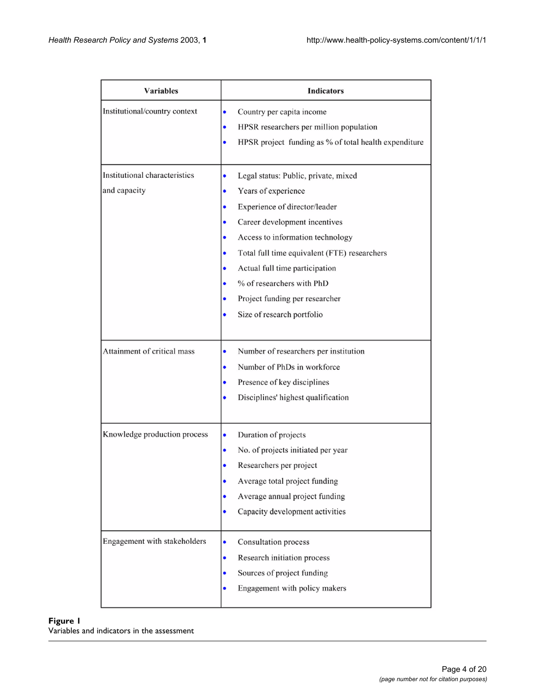<span id="page-3-0"></span>

| Variables                                     | <b>Indicators</b>                                                                                                                                                                                                                                                                                                                                     |
|-----------------------------------------------|-------------------------------------------------------------------------------------------------------------------------------------------------------------------------------------------------------------------------------------------------------------------------------------------------------------------------------------------------------|
| Institutional/country context                 | Country per capita income<br>٠<br>HPSR researchers per million population<br>٠<br>HPSR project funding as % of total health expenditure                                                                                                                                                                                                               |
| Institutional characteristics<br>and capacity | Legal status: Public, private, mixed<br>٠<br>Years of experience<br>Experience of director/leader<br>Career development incentives<br>Access to information technology<br>Total full time equivalent (FTE) researchers<br>Actual full time participation<br>% of researchers with PhD<br>Project funding per researcher<br>Size of research portfolio |
| Attainment of critical mass                   | Number of researchers per institution<br>٠<br>Number of PhDs in workforce<br>Presence of key disciplines<br>Disciplines' highest qualification                                                                                                                                                                                                        |
| Knowledge production process                  | Duration of projects<br>۰<br>No. of projects initiated per year<br>Researchers per project<br>Average total project funding<br>Average annual project funding<br>Capacity development activities                                                                                                                                                      |
| Engagement with stakeholders                  | Consultation process<br>٠<br>Research initiation process<br>٠<br>Sources of project funding<br>Engagement with policy makers                                                                                                                                                                                                                          |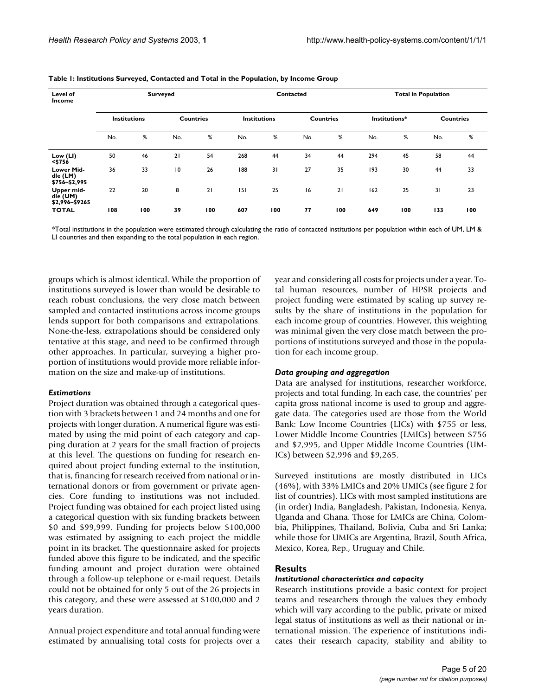| Level of<br>Income                             | <b>Surveyed</b>     |     |                  |     | Contacted           |     |                  |     | <b>Total in Population</b> |     |                  |     |
|------------------------------------------------|---------------------|-----|------------------|-----|---------------------|-----|------------------|-----|----------------------------|-----|------------------|-----|
|                                                | <b>Institutions</b> |     | <b>Countries</b> |     | <b>Institutions</b> |     | <b>Countries</b> |     | Institutions*              |     | <b>Countries</b> |     |
|                                                | No.                 | %   | No.              | %   | No.                 | %   | No.              | %   | No.                        | %   | No.              | %   |
| Low (LI)<br>$<$ \$756                          | 50                  | 46  | 21               | 54  | 268                 | 44  | 34               | 44  | 294                        | 45  | 58               | 44  |
| <b>Lower Mid-</b><br>dle (LM)<br>\$756-\$2,995 | 36                  | 33  | 10               | 26  | 188                 | 31  | 27               | 35  | 193                        | 30  | 44               | 33  |
| Upper mid-<br>dle (UM)<br>\$2,996-\$9265       | 22                  | 20  | 8                | 21  | 151                 | 25  | 16               | 21  | 162                        | 25  | 31               | 23  |
| <b>TOTAL</b>                                   | 108                 | 100 | 39               | 100 | 607                 | 100 | 77               | 100 | 649                        | 100 | 133              | 100 |

<span id="page-4-0"></span>

| Table 1: Institutions Surveyed, Contacted and Total in the Population, by Income Group |  |  |  |
|----------------------------------------------------------------------------------------|--|--|--|
|----------------------------------------------------------------------------------------|--|--|--|

\*Total institutions in the population were estimated through calculating the ratio of contacted institutions per population within each of UM, LM & LI countries and then expanding to the total population in each region.

groups which is almost identical. While the proportion of institutions surveyed is lower than would be desirable to reach robust conclusions, the very close match between sampled and contacted institutions across income groups lends support for both comparisons and extrapolations. None-the-less, extrapolations should be considered only tentative at this stage, and need to be confirmed through other approaches. In particular, surveying a higher proportion of institutions would provide more reliable information on the size and make-up of institutions.

#### *Estimations*

Project duration was obtained through a categorical question with 3 brackets between 1 and 24 months and one for projects with longer duration. A numerical figure was estimated by using the mid point of each category and capping duration at 2 years for the small fraction of projects at this level. The questions on funding for research enquired about project funding external to the institution, that is, financing for research received from national or international donors or from government or private agencies. Core funding to institutions was not included. Project funding was obtained for each project listed using a categorical question with six funding brackets between \$0 and \$99,999. Funding for projects below \$100,000 was estimated by assigning to each project the middle point in its bracket. The questionnaire asked for projects funded above this figure to be indicated, and the specific funding amount and project duration were obtained through a follow-up telephone or e-mail request. Details could not be obtained for only 5 out of the 26 projects in this category, and these were assessed at \$100,000 and 2 years duration.

Annual project expenditure and total annual funding were estimated by annualising total costs for projects over a

year and considering all costs for projects under a year. Total human resources, number of HPSR projects and project funding were estimated by scaling up survey results by the share of institutions in the population for each income group of countries. However, this weighting was minimal given the very close match between the proportions of institutions surveyed and those in the population for each income group.

#### *Data grouping and aggregation*

Data are analysed for institutions, researcher workforce, projects and total funding. In each case, the countries' per capita gross national income is used to group and aggregate data. The categories used are those from the World Bank: Low Income Countries (LICs) with \$755 or less, Lower Middle Income Countries (LMICs) between \$756 and \$2,995, and Upper Middle Income Countries (UM-ICs) between \$2,996 and \$9,265.

Surveyed institutions are mostly distributed in LICs (46%), with 33% LMICs and 20% UMICs (see figure 2 for list of countries). LICs with most sampled institutions are (in order) India, Bangladesh, Pakistan, Indonesia, Kenya, Uganda and Ghana. Those for LMICs are China, Colombia, Philippines, Thailand, Bolivia, Cuba and Sri Lanka; while those for UMICs are Argentina, Brazil, South Africa, Mexico, Korea, Rep., Uruguay and Chile.

## **Results**

#### *Institutional characteristics and capacity*

Research institutions provide a basic context for project teams and researchers through the values they embody which will vary according to the public, private or mixed legal status of institutions as well as their national or international mission. The experience of institutions indicates their research capacity, stability and ability to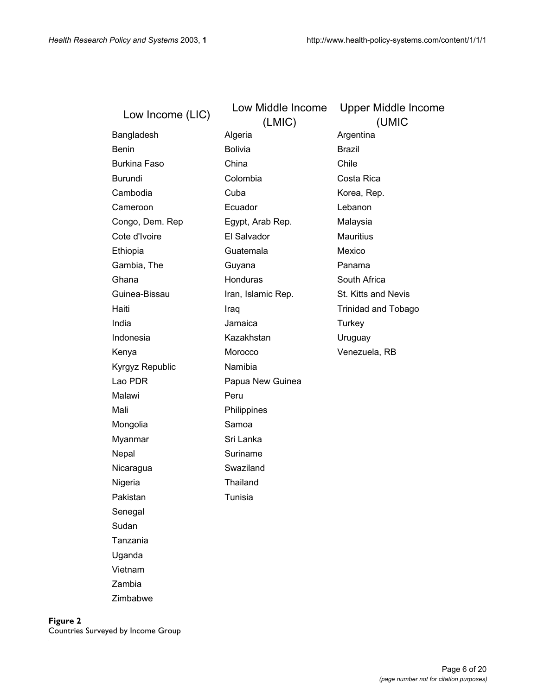| Low Income (LIC)    | Low Middle Income  | Upper Middle Income        |
|---------------------|--------------------|----------------------------|
|                     | (LMIC)             | (UMIC                      |
| Bangladesh          | Algeria            | Argentina                  |
| Benin               | <b>Bolivia</b>     | <b>Brazil</b>              |
| <b>Burkina Faso</b> | China              | Chile                      |
| <b>Burundi</b>      | Colombia           | Costa Rica                 |
| Cambodia            | Cuba               | Korea, Rep.                |
| Cameroon            | Ecuador            | Lebanon                    |
| Congo, Dem. Rep     | Egypt, Arab Rep.   | Malaysia                   |
| Cote d'Ivoire       | El Salvador        | <b>Mauritius</b>           |
| Ethiopia            | Guatemala          | Mexico                     |
| Gambia, The         | Guyana             | Panama                     |
| Ghana               | Honduras           | South Africa               |
| Guinea-Bissau       | Iran, Islamic Rep. | St. Kitts and Nevis        |
| Haiti               | Iraq               | <b>Trinidad and Tobago</b> |
| India               | Jamaica            | Turkey                     |
| Indonesia           | Kazakhstan         | Uruguay                    |
| Kenya               | Morocco            | Venezuela, RB              |
| Kyrgyz Republic     | Namibia            |                            |
| Lao PDR             | Papua New Guinea   |                            |
| Malawi              | Peru               |                            |
| Mali                | Philippines        |                            |
| Mongolia            | Samoa              |                            |
| Myanmar             | Sri Lanka          |                            |
| Nepal               | Suriname           |                            |
| Nicaragua           | Swaziland          |                            |
| Nigeria             | Thailand           |                            |
| Pakistan            | Tunisia            |                            |
| Senegal             |                    |                            |
| Sudan               |                    |                            |
| Tanzania            |                    |                            |
| Uganda              |                    |                            |
| Vietnam             |                    |                            |
| Zambia              |                    |                            |
| Zimbabwe            |                    |                            |

## **Figure 2** Countries Surveyed by Income Group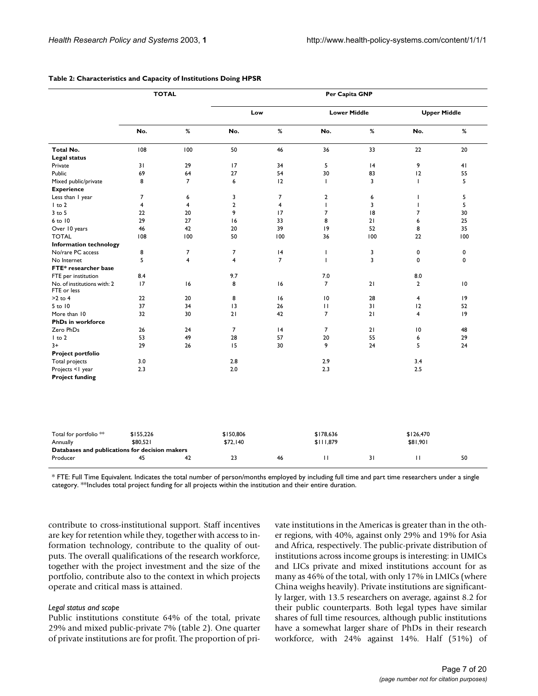|                                                | <b>TOTAL</b>          |                |                       | Per Capita GNP |                        |     |                         |      |  |  |  |
|------------------------------------------------|-----------------------|----------------|-----------------------|----------------|------------------------|-----|-------------------------|------|--|--|--|
|                                                |                       |                | Low                   |                | <b>Lower Middle</b>    |     | <b>Upper Middle</b>     |      |  |  |  |
|                                                | No.                   | $\%$           | No.                   | %              | No.                    | %   | No.                     | $\%$ |  |  |  |
| Total No.                                      | 108                   | 100            | 50                    | 46             | 36                     | 33  | 22                      | 20   |  |  |  |
| <b>Legal status</b>                            |                       |                |                       |                |                        |     |                         |      |  |  |  |
| Private                                        | 31                    | 29             | 17                    | 34             | 5                      | 4   | 9                       | 41   |  |  |  |
| Public                                         | 69                    | 64             | 27                    | 54             | 30                     | 83  | 12                      | 55   |  |  |  |
| Mixed public/private                           | 8                     | $\overline{7}$ | 6                     | 12             | $\mathbf{I}$           | 3   | T                       | 5    |  |  |  |
| <b>Experience</b>                              |                       |                |                       |                |                        |     |                         |      |  |  |  |
| Less than I year                               | $\overline{7}$        | 6              | 3                     | $\overline{7}$ | $\overline{2}$         | 6   | ı                       | 5    |  |  |  |
| $1$ to $2$                                     | $\overline{4}$        | $\overline{4}$ | $\mathbf{2}$          | $\overline{4}$ | -1                     | 3   | ı                       | 5    |  |  |  |
| $3$ to $5$                                     | 22                    | 20             | 9                     | 17             | $\overline{7}$         | 18  | $\overline{7}$          | 30   |  |  |  |
| 6 to 10                                        | 29                    | 27             | 16                    | 33             | 8                      | 21  | 6                       | 25   |  |  |  |
| Over 10 years                                  | 46                    | 42             | 20                    | 39             | 9                      | 52  | 8                       | 35   |  |  |  |
| <b>TOTAL</b>                                   | 108                   | 100            | 50                    | 100            | 36                     | 100 | 22                      | 100  |  |  |  |
| <b>Information technology</b>                  |                       |                |                       |                |                        |     |                         |      |  |  |  |
| No/rare PC access                              | 8                     | $\overline{7}$ | $\overline{7}$        | 4              | T                      | 3   | $\mathbf 0$             | 0    |  |  |  |
| No Internet                                    | 5                     | $\overline{4}$ | $\overline{4}$        | $\overline{7}$ | T                      | 3   | 0                       | 0    |  |  |  |
| FTE* researcher base                           |                       |                |                       |                |                        |     |                         |      |  |  |  |
| FTE per institution                            | 8.4                   |                | 9.7                   |                | 7.0                    |     | 8.0                     |      |  |  |  |
| No. of institutions with: 2                    | 17                    | 16             | 8                     | 16             | $\overline{7}$         | 21  | $\overline{2}$          | 10   |  |  |  |
| FTE or less                                    |                       |                |                       |                |                        |     |                         |      |  |  |  |
| $>2$ to 4                                      | 22                    | 20             | 8                     | 16             | $\overline{10}$        | 28  | 4                       | 19   |  |  |  |
| 5 to 10                                        | 37                    | 34             | 13                    | 26             | $\mathbf{H}$           | 31  | 12                      | 52   |  |  |  |
| More than 10                                   | 32                    | 30             | 21                    | 42             | $\overline{7}$         | 21  | $\overline{\mathbf{4}}$ | 9    |  |  |  |
| <b>PhDs in workforce</b>                       |                       |                |                       |                |                        |     |                         |      |  |  |  |
| Zero PhDs                                      | 26                    | 24             | $\overline{7}$        | 4              | $\overline{7}$         | 21  | 10                      | 48   |  |  |  |
| $1$ to $2$                                     | 53                    | 49             | 28                    | 57             | 20                     | 55  | 6                       | 29   |  |  |  |
| $3+$                                           | 29                    | 26             | 15                    | 30             | 9                      | 24  | 5                       | 24   |  |  |  |
| Project portfolio                              |                       |                |                       |                |                        |     |                         |      |  |  |  |
| Total projects                                 | 3.0                   |                | 2.8                   |                | 2.9                    |     | 3.4                     |      |  |  |  |
| Projects <1 year                               | 2.3                   |                | 2.0                   |                | 2.3                    |     | 2.5                     |      |  |  |  |
| <b>Project funding</b>                         |                       |                |                       |                |                        |     |                         |      |  |  |  |
|                                                |                       |                |                       |                |                        |     |                         |      |  |  |  |
| Total for portfolio <sup>**</sup><br>Annually  | \$155,226<br>\$80,521 |                | \$150,806<br>\$72,140 |                | \$178,636<br>\$111,879 |     | \$126,470<br>\$81,901   |      |  |  |  |
| Databases and publications for decision makers |                       |                |                       |                |                        |     |                         |      |  |  |  |
| Producer                                       | 45                    | 42             | 23                    | 46             | П                      | 31  | П                       | 50   |  |  |  |

#### <span id="page-6-0"></span>**Table 2: Characteristics and Capacity of Institutions Doing HPSR**

\* FTE: Full Time Equivalent. Indicates the total number of person/months employed by including full time and part time researchers under a single category. \*\*Includes total project funding for all projects within the institution and their entire duration.

contribute to cross-institutional support. Staff incentives are key for retention while they, together with access to information technology, contribute to the quality of outputs. The overall qualifications of the research workforce, together with the project investment and the size of the portfolio, contribute also to the context in which projects operate and critical mass is attained.

### *Legal status and scope*

Public institutions constitute 64% of the total, private 29% and mixed public-private 7% (table [2\)](#page-6-0). One quarter of private institutions are for profit. The proportion of private institutions in the Americas is greater than in the other regions, with 40%, against only 29% and 19% for Asia and Africa, respectively. The public-private distribution of institutions across income groups is interesting: in UMICs and LICs private and mixed institutions account for as many as 46% of the total, with only 17% in LMICs (where China weighs heavily). Private institutions are significantly larger, with 13.5 researchers on average, against 8.2 for their public counterparts. Both legal types have similar shares of full time resources, although public institutions have a somewhat larger share of PhDs in their research workforce, with 24% against 14%. Half (51%) of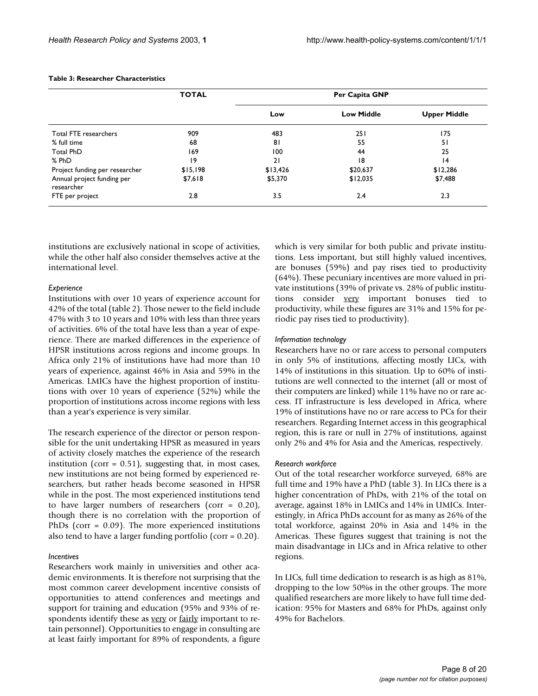|                                          | <b>TOTAL</b> | Per Capita GNP |                   |                     |  |  |
|------------------------------------------|--------------|----------------|-------------------|---------------------|--|--|
|                                          |              | Low            | <b>Low Middle</b> | <b>Upper Middle</b> |  |  |
| Total FTE researchers                    | 909          | 483            | 251               | 175                 |  |  |
| % full time                              | 68           | 81             | 55                | 51                  |  |  |
| Total PhD                                | 169          | 100            | 44                | 25                  |  |  |
| % PhD                                    | 19           | 21             | 18                | 4                   |  |  |
| Project funding per researcher           | \$15,198     | \$13,426       | \$20,637          | \$12,286            |  |  |
| Annual project funding per<br>researcher | \$7,618      | \$5,370        | \$12,035          | \$7,488             |  |  |
| FTE per project                          | 2.8          | 3.5            | 2.4               | 2.3                 |  |  |

#### <span id="page-7-0"></span>**Table 3: Researcher Characteristics**

institutions are exclusively national in scope of activities, while the other half also consider themselves active at the international level.

#### *Experience*

Institutions with over 10 years of experience account for 42% of the total (table [2\)](#page-6-0). Those newer to the field include 47% with 3 to 10 years and 10% with less than three years of activities. 6% of the total have less than a year of experience. There are marked differences in the experience of HPSR institutions across regions and income groups. In Africa only 21% of institutions have had more than 10 years of experience, against 46% in Asia and 59% in the Americas. LMICs have the highest proportion of institutions with over 10 years of experience (52%) while the proportion of institutions across income regions with less than a year's experience is very similar.

The research experience of the director or person responsible for the unit undertaking HPSR as measured in years of activity closely matches the experience of the research institution (corr =  $0.51$ ), suggesting that, in most cases, new institutions are not being formed by experienced researchers, but rather heads become seasoned in HPSR while in the post. The most experienced institutions tend to have larger numbers of researchers (corr = 0.20), though there is no correlation with the proportion of PhDs (corr = 0.09). The more experienced institutions also tend to have a larger funding portfolio (corr = 0.20).

#### *Incentives*

Researchers work mainly in universities and other academic environments. It is therefore not surprising that the most common career development incentive consists of opportunities to attend conferences and meetings and support for training and education (95% and 93% of respondents identify these as very or fairly important to retain personnel). Opportunities to engage in consulting are at least fairly important for 89% of respondents, a figure which is very similar for both public and private institutions. Less important, but still highly valued incentives, are bonuses (59%) and pay rises tied to productivity (64%). These pecuniary incentives are more valued in private institutions (39% of private vs. 28% of public institutions consider very important bonuses tied to productivity, while these figures are 31% and 15% for periodic pay rises tied to productivity).

#### *Information technology*

Researchers have no or rare access to personal computers in only 5% of institutions, affecting mostly LICs, with 14% of institutions in this situation. Up to 60% of institutions are well connected to the internet (all or most of their computers are linked) while 11% have no or rare access. IT infrastructure is less developed in Africa, where 19% of institutions have no or rare access to PCs for their researchers. Regarding Internet access in this geographical region, this is rare or null in 27% of institutions, against only 2% and 4% for Asia and the Americas, respectively.

#### *Research workforce*

Out of the total researcher workforce surveyed, 68% are full time and 19% have a PhD (table [3\)](#page-7-0). In LICs there is a higher concentration of PhDs, with 21% of the total on average, against 18% in LMICs and 14% in UMICs. Interestingly, in Africa PhDs account for as many as 26% of the total workforce, against 20% in Asia and 14% in the Americas. These figures suggest that training is not the main disadvantage in LICs and in Africa relative to other regions.

In LICs, full time dedication to research is as high as 81%, dropping to the low 50%s in the other groups. The more qualified researchers are more likely to have full time dedication: 95% for Masters and 68% for PhDs, against only 49% for Bachelors.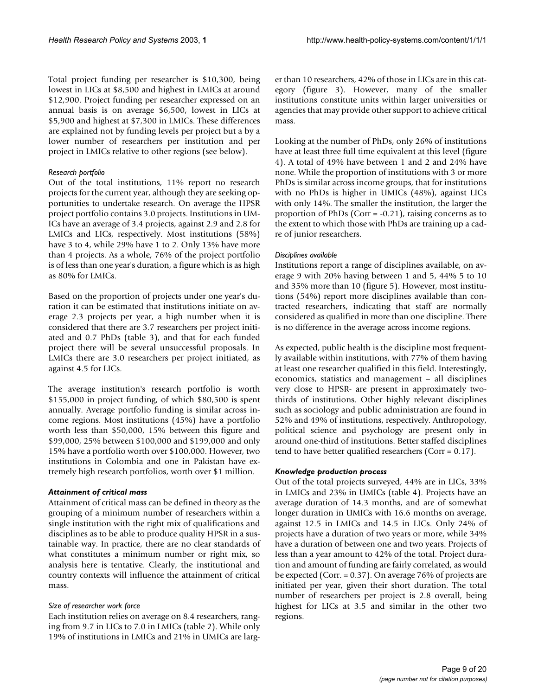Total project funding per researcher is \$10,300, being lowest in LICs at \$8,500 and highest in LMICs at around \$12,900. Project funding per researcher expressed on an annual basis is on average \$6,500, lowest in LICs at \$5,900 and highest at \$7,300 in LMICs. These differences are explained not by funding levels per project but a by a lower number of researchers per institution and per project in LMICs relative to other regions (see below).

## *Research portfolio*

Out of the total institutions, 11% report no research projects for the current year, although they are seeking opportunities to undertake research. On average the HPSR project portfolio contains 3.0 projects. Institutions in UM-ICs have an average of 3.4 projects, against 2.9 and 2.8 for LMICs and LICs, respectively. Most institutions (58%) have 3 to 4, while 29% have 1 to 2. Only 13% have more than 4 projects. As a whole, 76% of the project portfolio is of less than one year's duration, a figure which is as high as 80% for LMICs.

Based on the proportion of projects under one year's duration it can be estimated that institutions initiate on average 2.3 projects per year, a high number when it is considered that there are 3.7 researchers per project initiated and 0.7 PhDs (table [3](#page-7-0)), and that for each funded project there will be several unsuccessful proposals. In LMICs there are 3.0 researchers per project initiated, as against 4.5 for LICs.

The average institution's research portfolio is worth \$155,000 in project funding, of which \$80,500 is spent annually. Average portfolio funding is similar across income regions. Most institutions (45%) have a portfolio worth less than \$50,000, 15% between this figure and \$99,000, 25% between \$100,000 and \$199,000 and only 15% have a portfolio worth over \$100,000. However, two institutions in Colombia and one in Pakistan have extremely high research portfolios, worth over \$1 million.

### *Attainment of critical mass*

Attainment of critical mass can be defined in theory as the grouping of a minimum number of researchers within a single institution with the right mix of qualifications and disciplines as to be able to produce quality HPSR in a sustainable way. In practice, there are no clear standards of what constitutes a minimum number or right mix, so analysis here is tentative. Clearly, the institutional and country contexts will influence the attainment of critical mass.

### *Size of researcher work force*

Each institution relies on average on 8.4 researchers, ranging from 9.7 in LICs to 7.0 in LMICs (table [2](#page-6-0)). While only 19% of institutions in LMICs and 21% in UMICs are larger than 10 researchers, 42% of those in LICs are in this category (figure [3\)](#page-9-0). However, many of the smaller institutions constitute units within larger universities or agencies that may provide other support to achieve critical mass.

Looking at the number of PhDs, only 26% of institutions have at least three full time equivalent at this level (figure 4). A total of 49% have between 1 and 2 and 24% have none. While the proportion of institutions with 3 or more PhDs is similar across income groups, that for institutions with no PhDs is higher in UMICs (48%), against LICs with only 14%. The smaller the institution, the larger the proportion of PhDs (Corr = -0.21), raising concerns as to the extent to which those with PhDs are training up a cadre of junior researchers.

### *Disciplines available*

Institutions report a range of disciplines available, on average 9 with 20% having between 1 and 5, 44% 5 to 10 and 35% more than 10 (figure [5\)](#page-11-0). However, most institutions (54%) report more disciplines available than contracted researchers, indicating that staff are normally considered as qualified in more than one discipline. There is no difference in the average across income regions.

As expected, public health is the discipline most frequently available within institutions, with 77% of them having at least one researcher qualified in this field. Interestingly, economics, statistics and management – all disciplines very close to HPSR- are present in approximately twothirds of institutions. Other highly relevant disciplines such as sociology and public administration are found in 52% and 49% of institutions, respectively. Anthropology, political science and psychology are present only in around one-third of institutions. Better staffed disciplines tend to have better qualified researchers (Corr = 0.17).

### *Knowledge production process*

Out of the total projects surveyed, 44% are in LICs, 33% in LMICs and 23% in UMICs (table [4](#page-15-0)). Projects have an average duration of 14.3 months, and are of somewhat longer duration in UMICs with 16.6 months on average, against 12.5 in LMICs and 14.5 in LICs. Only 24% of projects have a duration of two years or more, while 34% have a duration of between one and two years. Projects of less than a year amount to 42% of the total. Project duration and amount of funding are fairly correlated, as would be expected (Corr. = 0.37). On average 76% of projects are initiated per year, given their short duration. The total number of researchers per project is 2.8 overall, being highest for LICs at 3.5 and similar in the other two regions.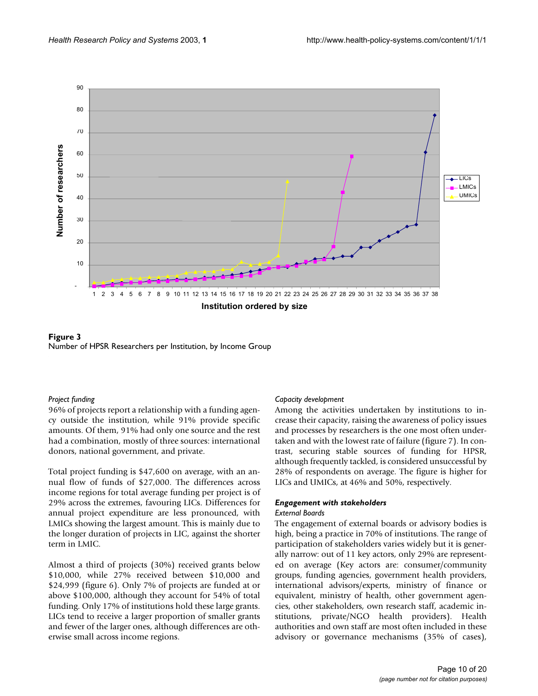<span id="page-9-0"></span>

**Figure 3** Number of HPSR Researchers per Institution, by Income Group

### *Project funding*

96% of projects report a relationship with a funding agency outside the institution, while 91% provide specific amounts. Of them, 91% had only one source and the rest had a combination, mostly of three sources: international donors, national government, and private.

Total project funding is \$47,600 on average, with an annual flow of funds of \$27,000. The differences across income regions for total average funding per project is of 29% across the extremes, favouring LICs. Differences for annual project expenditure are less pronounced, with LMICs showing the largest amount. This is mainly due to the longer duration of projects in LIC, against the shorter term in LMIC.

Almost a third of projects (30%) received grants below \$10,000, while 27% received between \$10,000 and \$24,999 (figure [6\)](#page-12-0). Only 7% of projects are funded at or above \$100,000, although they account for 54% of total funding. Only 17% of institutions hold these large grants. LICs tend to receive a larger proportion of smaller grants and fewer of the larger ones, although differences are otherwise small across income regions.

### *Capacity development*

Among the activities undertaken by institutions to increase their capacity, raising the awareness of policy issues and processes by researchers is the one most often undertaken and with the lowest rate of failure (figure [7\)](#page-13-0). In contrast, securing stable sources of funding for HPSR, although frequently tackled, is considered unsuccessful by 28% of respondents on average. The figure is higher for LICs and UMICs, at 46% and 50%, respectively.

### *Engagement with stakeholders*

### *External Boards*

The engagement of external boards or advisory bodies is high, being a practice in 70% of institutions. The range of participation of stakeholders varies widely but it is generally narrow: out of 11 key actors, only 29% are represented on average (Key actors are: consumer/community groups, funding agencies, government health providers, international advisors/experts, ministry of finance or equivalent, ministry of health, other government agencies, other stakeholders, own research staff, academic institutions, private/NGO health providers). Health authorities and own staff are most often included in these advisory or governance mechanisms (35% of cases),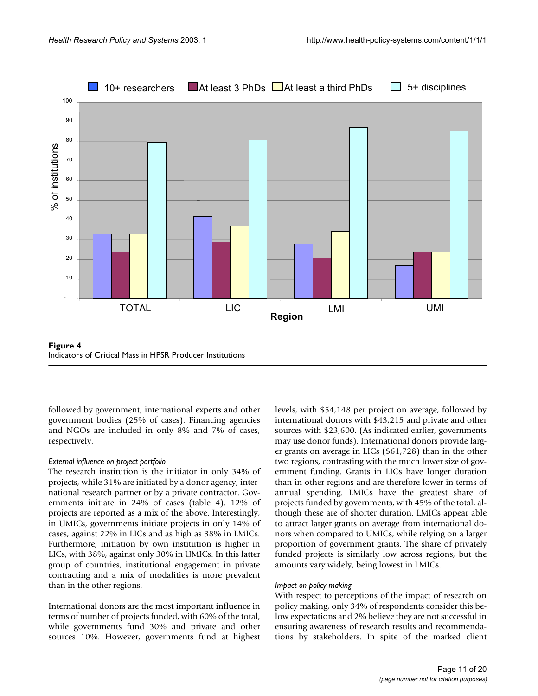

followed by government, international experts and other government bodies (25% of cases). Financing agencies and NGOs are included in only 8% and 7% of cases, respectively.

### *External influence on project portfolio*

The research institution is the initiator in only 34% of projects, while 31% are initiated by a donor agency, international research partner or by a private contractor. Governments initiate in 24% of cases (table [4](#page-15-0)). 12% of projects are reported as a mix of the above. Interestingly, in UMICs, governments initiate projects in only 14% of cases, against 22% in LICs and as high as 38% in LMICs. Furthermore, initiation by own institution is higher in LICs, with 38%, against only 30% in UMICs. In this latter group of countries, institutional engagement in private contracting and a mix of modalities is more prevalent than in the other regions.

International donors are the most important influence in terms of number of projects funded, with 60% of the total, while governments fund 30% and private and other sources 10%. However, governments fund at highest levels, with \$54,148 per project on average, followed by international donors with \$43,215 and private and other sources with \$23,600. (As indicated earlier, governments may use donor funds). International donors provide larger grants on average in LICs (\$61,728) than in the other two regions, contrasting with the much lower size of government funding. Grants in LICs have longer duration than in other regions and are therefore lower in terms of annual spending. LMICs have the greatest share of projects funded by governments, with 45% of the total, although these are of shorter duration. LMICs appear able to attract larger grants on average from international donors when compared to UMICs, while relying on a larger proportion of government grants. The share of privately funded projects is similarly low across regions, but the amounts vary widely, being lowest in LMICs.

### *Impact on policy making*

With respect to perceptions of the impact of research on policy making, only 34% of respondents consider this below expectations and 2% believe they are not successful in ensuring awareness of research results and recommendations by stakeholders. In spite of the marked client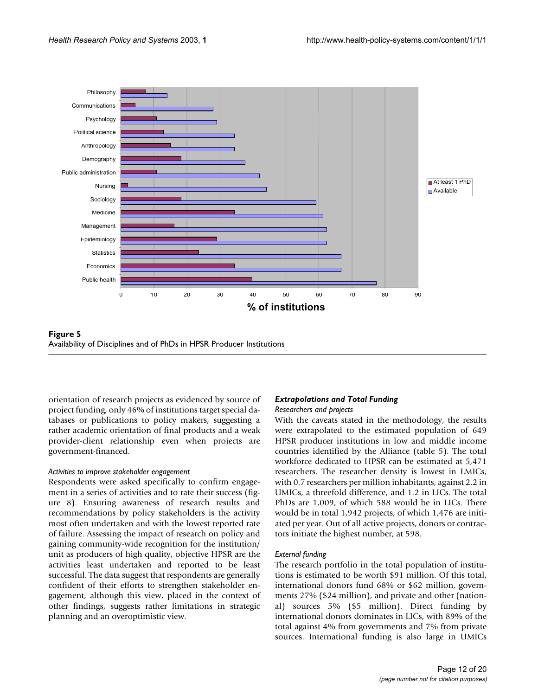<span id="page-11-0"></span>

**Figure 5** Availability of Disciplines and of PhDs in HPSR Producer Institutions

orientation of research projects as evidenced by source of project funding, only 46% of institutions target special databases or publications to policy makers, suggesting a rather academic orientation of final products and a weak provider-client relationship even when projects are government-financed.

### *Activities to improve stakeholder engagement*

Respondents were asked specifically to confirm engagement in a series of activities and to rate their success (figure 8). Ensuring awareness of research results and recommendations by policy stakeholders is the activity most often undertaken and with the lowest reported rate of failure. Assessing the impact of research on policy and gaining community-wide recognition for the institution/ unit as producers of high quality, objective HPSR are the activities least undertaken and reported to be least successful. The data suggest that respondents are generally confident of their efforts to strengthen stakeholder engagement, although this view, placed in the context of other findings, suggests rather limitations in strategic planning and an overoptimistic view.

#### *Extrapolations and Total Funding Researchers and projects*

With the caveats stated in the methodology, the results were extrapolated to the estimated population of 649 HPSR producer institutions in low and middle income countries identified by the Alliance (table [5\)](#page-16-0). The total workforce dedicated to HPSR can be estimated at 5,471 researchers. The researcher density is lowest in LMICs, with 0.7 researchers per million inhabitants, against 2.2 in UMICs, a threefold difference, and 1.2 in LICs. The total PhDs are 1,009, of which 588 would be in LICs. There would be in total 1,942 projects, of which 1,476 are initiated per year. Out of all active projects, donors or contractors initiate the highest number, at 598.

#### *External funding*

The research portfolio in the total population of institutions is estimated to be worth \$91 million. Of this total, international donors fund 68% or \$62 million, governments 27% (\$24 million), and private and other (national) sources 5% (\$5 million). Direct funding by international donors dominates in LICs, with 89% of the total against 4% from governments and 7% from private sources. International funding is also large in UMICs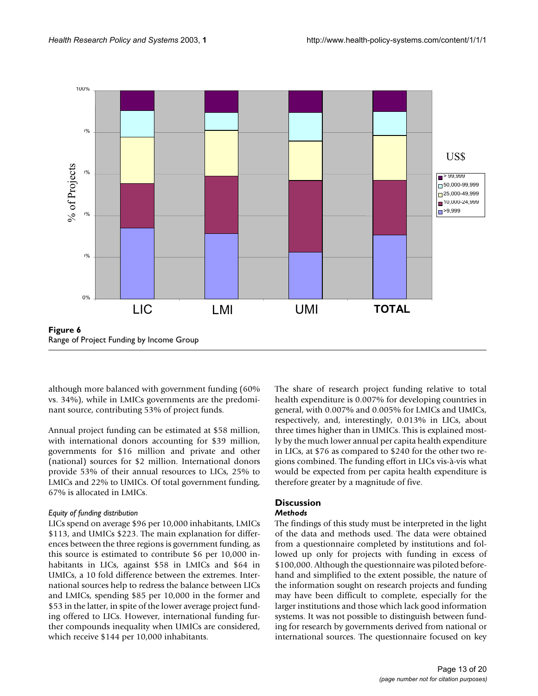<span id="page-12-0"></span>

although more balanced with government funding (60% vs. 34%), while in LMICs governments are the predominant source, contributing 53% of project funds.

Annual project funding can be estimated at \$58 million, with international donors accounting for \$39 million, governments for \$16 million and private and other (national) sources for \$2 million. International donors provide 53% of their annual resources to LICs, 25% to LMICs and 22% to UMICs. Of total government funding, 67% is allocated in LMICs.

### *Equity of funding distribution*

LICs spend on average \$96 per 10,000 inhabitants, LMICs \$113, and UMICs \$223. The main explanation for differences between the three regions is government funding, as this source is estimated to contribute \$6 per 10,000 inhabitants in LICs, against \$58 in LMICs and \$64 in UMICs, a 10 fold difference between the extremes. International sources help to redress the balance between LICs and LMICs, spending \$85 per 10,000 in the former and \$53 in the latter, in spite of the lower average project funding offered to LICs. However, international funding further compounds inequality when UMICs are considered, which receive \$144 per 10,000 inhabitants.

The share of research project funding relative to total health expenditure is 0.007% for developing countries in general, with 0.007% and 0.005% for LMICs and UMICs, respectively, and, interestingly, 0.013% in LICs, about three times higher than in UMICs. This is explained mostly by the much lower annual per capita health expenditure in LICs, at \$76 as compared to \$240 for the other two regions combined. The funding effort in LICs vis-à-vis what would be expected from per capita health expenditure is therefore greater by a magnitude of five.

## **Discussion**

## *Methods*

The findings of this study must be interpreted in the light of the data and methods used. The data were obtained from a questionnaire completed by institutions and followed up only for projects with funding in excess of \$100,000. Although the questionnaire was piloted beforehand and simplified to the extent possible, the nature of the information sought on research projects and funding may have been difficult to complete, especially for the larger institutions and those which lack good information systems. It was not possible to distinguish between funding for research by governments derived from national or international sources. The questionnaire focused on key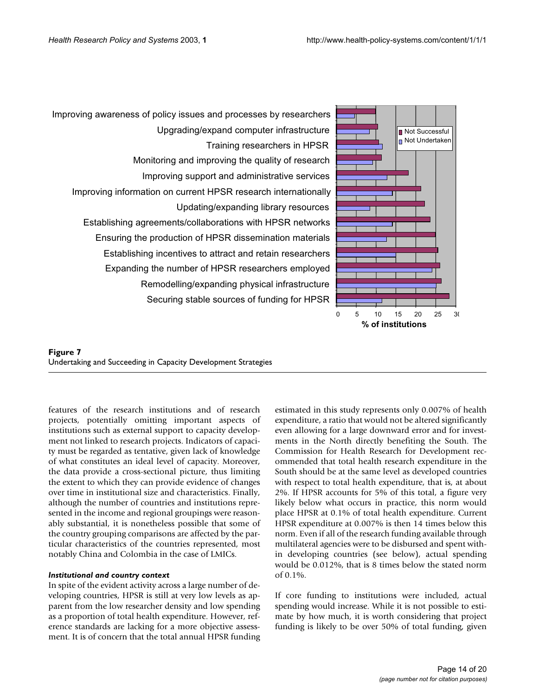<span id="page-13-0"></span>

## **Figure 7** Undertaking and Succeeding in Capacity Development Strategies

features of the research institutions and of research projects, potentially omitting important aspects of institutions such as external support to capacity development not linked to research projects. Indicators of capacity must be regarded as tentative, given lack of knowledge of what constitutes an ideal level of capacity. Moreover, the data provide a cross-sectional picture, thus limiting the extent to which they can provide evidence of changes over time in institutional size and characteristics. Finally, although the number of countries and institutions represented in the income and regional groupings were reasonably substantial, it is nonetheless possible that some of the country grouping comparisons are affected by the particular characteristics of the countries represented, most notably China and Colombia in the case of LMICs.

### *Institutional and country context*

In spite of the evident activity across a large number of developing countries, HPSR is still at very low levels as apparent from the low researcher density and low spending as a proportion of total health expenditure. However, reference standards are lacking for a more objective assessment. It is of concern that the total annual HPSR funding estimated in this study represents only 0.007% of health expenditure, a ratio that would not be altered significantly even allowing for a large downward error and for investments in the North directly benefiting the South. The Commission for Health Research for Development recommended that total health research expenditure in the South should be at the same level as developed countries with respect to total health expenditure, that is, at about 2%. If HPSR accounts for 5% of this total, a figure very likely below what occurs in practice, this norm would place HPSR at 0.1% of total health expenditure. Current HPSR expenditure at 0.007% is then 14 times below this norm. Even if all of the research funding available through multilateral agencies were to be disbursed and spent within developing countries (see below), actual spending would be 0.012%, that is 8 times below the stated norm of 0.1%.

If core funding to institutions were included, actual spending would increase. While it is not possible to estimate by how much, it is worth considering that project funding is likely to be over 50% of total funding, given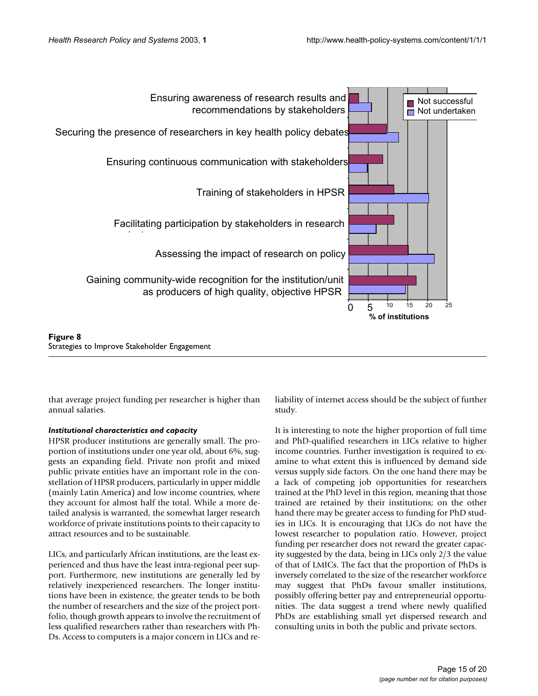

Strategies to Improve Stakeholder Engagement

that average project funding per researcher is higher than annual salaries.

## *Institutional characteristics and capacity*

HPSR producer institutions are generally small. The proportion of institutions under one year old, about 6%, suggests an expanding field. Private non profit and mixed public private entities have an important role in the constellation of HPSR producers, particularly in upper middle (mainly Latin America) and low income countries, where they account for almost half the total. While a more detailed analysis is warranted, the somewhat larger research workforce of private institutions points to their capacity to attract resources and to be sustainable.

LICs, and particularly African institutions, are the least experienced and thus have the least intra-regional peer support. Furthermore, new institutions are generally led by relatively inexperienced researchers. The longer institutions have been in existence, the greater tends to be both the number of researchers and the size of the project portfolio, though growth appears to involve the recruitment of less qualified researchers rather than researchers with Ph-Ds. Access to computers is a major concern in LICs and reliability of internet access should be the subject of further study.

It is interesting to note the higher proportion of full time and PhD-qualified researchers in LICs relative to higher income countries. Further investigation is required to examine to what extent this is influenced by demand side versus supply side factors. On the one hand there may be a lack of competing job opportunities for researchers trained at the PhD level in this region, meaning that those trained are retained by their institutions; on the other hand there may be greater access to funding for PhD studies in LICs. It is encouraging that LICs do not have the lowest researcher to population ratio. However, project funding per researcher does not reward the greater capacity suggested by the data, being in LICs only 2/3 the value of that of LMICs. The fact that the proportion of PhDs is inversely correlated to the size of the researcher workforce may suggest that PhDs favour smaller institutions, possibly offering better pay and entrepreneurial opportunities. The data suggest a trend where newly qualified PhDs are establishing small yet dispersed research and consulting units in both the public and private sectors.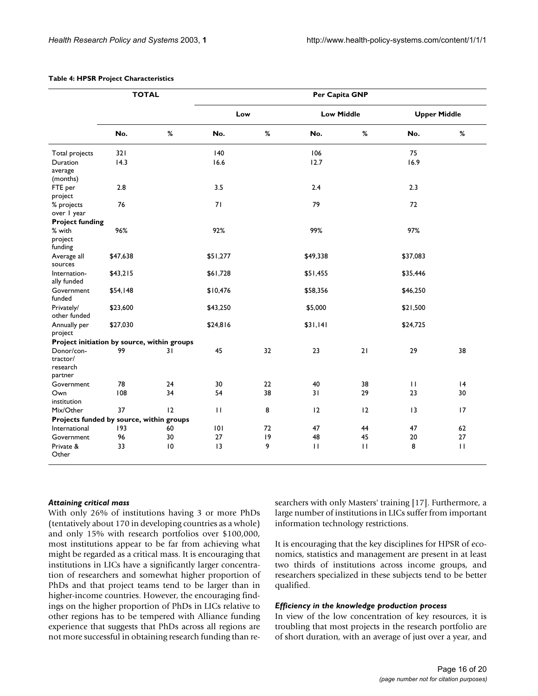|                                               | <b>TOTAL</b>                                |      |              |      | Per Capita GNP    |              |                     |              |
|-----------------------------------------------|---------------------------------------------|------|--------------|------|-------------------|--------------|---------------------|--------------|
|                                               |                                             |      | Low          |      | <b>Low Middle</b> |              | <b>Upper Middle</b> |              |
|                                               | No.                                         | $\%$ | No.          | $\%$ | No.               | $\%$         | No.                 | $\%$         |
| Total projects                                | 321                                         |      | 140          |      | 106               |              | 75                  |              |
| Duration<br>average<br>(months)               | 14.3                                        |      | 16.6         |      | 12.7              |              | 16.9                |              |
| FTE per<br>project                            | 2.8                                         |      | 3.5          |      | 2.4               |              | 2.3                 |              |
| % projects<br>over I year                     | 76                                          |      | 71           |      | 79                |              | 72                  |              |
| <b>Project funding</b>                        |                                             |      |              |      |                   |              |                     |              |
| % with<br>project<br>funding                  | 96%                                         |      | 92%          |      | 99%               |              | 97%                 |              |
| Average all<br>sources                        | \$47,638                                    |      | \$51,277     |      | \$49,338          |              | \$37,083            |              |
| Internation-<br>ally funded                   | \$43,215                                    |      | \$61,728     |      | \$51,455          |              | \$35,446            |              |
| Government<br>funded                          | \$54,148                                    |      | \$10,476     |      | \$58,356          |              | \$46,250            |              |
| Privately/<br>other funded                    | \$23,600                                    |      | \$43,250     |      | \$5,000           |              | \$21,500            |              |
| Annually per<br>project                       | \$27,030                                    |      | \$24,816     |      | \$31,141          |              | \$24,725            |              |
|                                               | Project initiation by source, within groups |      |              |      |                   |              |                     |              |
| Donor/con-<br>tractor/<br>research<br>partner | 99                                          | 31   | 45           | 32   | 23                | 21           | 29                  | 38           |
| Government                                    | 78                                          | 24   | 30           | 22   | 40                | 38           | $\mathbf{H}$        | 4            |
| Own<br>institution                            | 108                                         | 34   | 54           | 38   | 31                | 29           | 23                  | 30           |
| Mix/Other                                     | 37                                          | 12   | $\mathbf{H}$ | 8    | 12                | 12           | 13                  | 17           |
|                                               | Projects funded by source, within groups    |      |              |      |                   |              |                     |              |
| International                                 | 193                                         | 60   | 101          | 72   | 47                | 44           | 47                  | 62           |
| Government                                    | 96                                          | 30   | 27           | 9    | 48                | 45           | 20                  | 27           |
| Private &<br>Other                            | 33                                          | 10   | 3            | 9    | $\mathbf{H}$      | $\mathbf{H}$ | 8                   | $\mathbf{H}$ |

#### <span id="page-15-0"></span>**Table 4: HPSR Project Characteristics**

#### *Attaining critical mass*

With only 26% of institutions having 3 or more PhDs (tentatively about 170 in developing countries as a whole) and only 15% with research portfolios over \$100,000, most institutions appear to be far from achieving what might be regarded as a critical mass. It is encouraging that institutions in LICs have a significantly larger concentration of researchers and somewhat higher proportion of PhDs and that project teams tend to be larger than in higher-income countries. However, the encouraging findings on the higher proportion of PhDs in LICs relative to other regions has to be tempered with Alliance funding experience that suggests that PhDs across all regions are not more successful in obtaining research funding than researchers with only Masters' training [17]. Furthermore, a large number of institutions in LICs suffer from important information technology restrictions.

It is encouraging that the key disciplines for HPSR of economics, statistics and management are present in at least two thirds of institutions across income groups, and researchers specialized in these subjects tend to be better qualified.

### *Efficiency in the knowledge production process*

In view of the low concentration of key resources, it is troubling that most projects in the research portfolio are of short duration, with an average of just over a year, and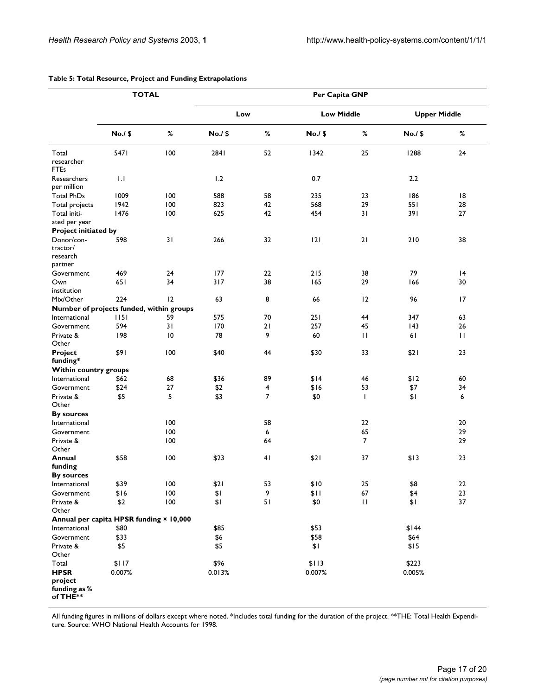|                                               | <b>TOTAL</b> |      |        |                         | Per Capita GNP    |                |                     |              |
|-----------------------------------------------|--------------|------|--------|-------------------------|-------------------|----------------|---------------------|--------------|
|                                               |              |      | Low    |                         | <b>Low Middle</b> |                | <b>Upper Middle</b> |              |
|                                               | No./\$       | $\%$ | No./\$ | $\%$                    | No./\$            | $\%$           | No. / \$            | %            |
| Total<br>researcher<br><b>FTEs</b>            | 5471         | 100  | 2841   | 52                      | 1342              | 25             | 1288                | 24           |
| Researchers<br>per million                    | $  \cdot  $  |      | 1.2    |                         | 0.7               |                | 2.2                 |              |
| <b>Total PhDs</b>                             | 1009         | 100  | 588    | 58                      | 235               | 23             | 186                 | 8            |
| Total projects                                | 1942         | 100  | 823    | 42                      | 568               | 29             | 551                 | 28           |
| Total initi-<br>ated per year                 | 1476         | 100  | 625    | 42                      | 454               | 31             | 391                 | 27           |
| Project initiated by                          |              |      |        |                         |                   |                |                     |              |
| Donor/con-<br>tractor/<br>research<br>partner | 598          | 31   | 266    | 32                      | 2                 | 21             | 210                 | 38           |
| Government                                    | 469          | 24   | 177    | 22                      | 215               | 38             | 79                  | 4            |
| Own<br>institution                            | 651          | 34   | 317    | 38                      | 165               | 29             | 166                 | 30           |
| Mix/Other                                     | 224          | 12   | 63     | 8                       | 66                | 12             | 96                  | 17           |
| Number of projects funded, within groups      |              |      |        |                         |                   |                |                     |              |
| International                                 | 1151         | 59   | 575    | 70                      | 251               | 44             | 347                 | 63           |
| Government                                    | 594          | 31   | 170    | 21                      | 257               | 45             | 43                  | 26           |
| Private &                                     | 198          | 10   | 78     | 9                       | 60                | $\mathbf{H}$   | 61                  | $\mathbf{H}$ |
| Other                                         |              |      |        |                         |                   |                |                     |              |
| Project<br>funding*                           | \$91         | 100  | \$40   | 44                      | \$30              | 33             | \$21                | 23           |
| Within country groups                         |              |      |        |                         |                   |                |                     |              |
| International                                 | \$62         | 68   | \$36   | 89                      | \$14              | 46             | \$12                | 60           |
| Government                                    | \$24         | 27   | \$2    | $\overline{\mathbf{4}}$ | \$16              | 53             | \$7                 | 34           |
| Private &<br>Other                            | \$5          | 5    | \$3    | $\overline{7}$          | \$0               | $\mathbf{I}$   | \$1                 | 6            |
| <b>By sources</b>                             |              |      |        |                         |                   |                |                     |              |
| International                                 |              | 100  |        | 58                      |                   | 22             |                     | 20           |
| Government                                    |              | 100  |        | 6                       |                   | 65             |                     | 29           |
| Private &<br>Other                            |              | 100  |        | 64                      |                   | $\overline{7}$ |                     | 29           |
| Annual<br>funding                             | \$58         | 100  | \$23   | 4 <sub>1</sub>          | \$21              | 37             | \$13                | 23           |
| By sources                                    |              |      |        |                         |                   |                |                     |              |
| International                                 | \$39         | 100  | \$21   | 53                      | \$10              | 25             | \$8                 | 22           |
| Government                                    | \$16         | 100  | \$1    | 9                       | \$11              | 67             | \$4                 | 23           |
| Private &                                     | \$2          | 100  | \$I    | 51                      | \$0               | $\mathbf{H}$   | \$1                 | 37           |
| Other                                         |              |      |        |                         |                   |                |                     |              |
| Annual per capita HPSR funding × 10,000       |              |      |        |                         |                   |                |                     |              |
| International                                 | \$80         |      | \$85   |                         | \$53              |                | \$144               |              |
| Government                                    | \$33         |      | \$6    |                         | \$58              |                | \$64                |              |
| Private &<br>Other                            | \$5          |      | \$5    |                         | \$1               |                | \$15                |              |
| Total                                         | \$117        |      | \$96   |                         | \$113             |                | \$223               |              |
| <b>HPSR</b>                                   | 0.007%       |      | 0.013% |                         | 0.007%            |                | 0.005%              |              |
| project<br>funding as %<br>of THE**           |              |      |        |                         |                   |                |                     |              |

#### <span id="page-16-0"></span>**Table 5: Total Resource, Project and Funding Extrapolations**

All funding figures in millions of dollars except where noted. \*Includes total funding for the duration of the project. \*\*THE: Total Health Expenditure. Source: WHO National Health Accounts for 1998.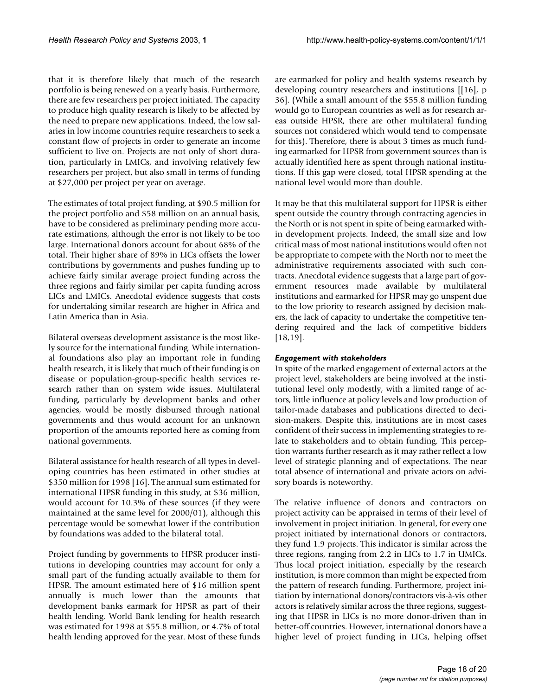that it is therefore likely that much of the research portfolio is being renewed on a yearly basis. Furthermore, there are few researchers per project initiated. The capacity to produce high quality research is likely to be affected by the need to prepare new applications. Indeed, the low salaries in low income countries require researchers to seek a constant flow of projects in order to generate an income sufficient to live on. Projects are not only of short duration, particularly in LMICs, and involving relatively few researchers per project, but also small in terms of funding at \$27,000 per project per year on average.

The estimates of total project funding, at \$90.5 million for the project portfolio and \$58 million on an annual basis, have to be considered as preliminary pending more accurate estimations, although the error is not likely to be too large. International donors account for about 68% of the total. Their higher share of 89% in LICs offsets the lower contributions by governments and pushes funding up to achieve fairly similar average project funding across the three regions and fairly similar per capita funding across LICs and LMICs. Anecdotal evidence suggests that costs for undertaking similar research are higher in Africa and Latin America than in Asia.

Bilateral overseas development assistance is the most likely source for the international funding. While international foundations also play an important role in funding health research, it is likely that much of their funding is on disease or population-group-specific health services research rather than on system wide issues. Multilateral funding, particularly by development banks and other agencies, would be mostly disbursed through national governments and thus would account for an unknown proportion of the amounts reported here as coming from national governments.

Bilateral assistance for health research of all types in developing countries has been estimated in other studies at \$350 million for 1998 [16]. The annual sum estimated for international HPSR funding in this study, at \$36 million, would account for 10.3% of these sources (if they were maintained at the same level for 2000/01), although this percentage would be somewhat lower if the contribution by foundations was added to the bilateral total.

Project funding by governments to HPSR producer institutions in developing countries may account for only a small part of the funding actually available to them for HPSR. The amount estimated here of \$16 million spent annually is much lower than the amounts that development banks earmark for HPSR as part of their health lending. World Bank lending for health research was estimated for 1998 at \$55.8 million, or 4.7% of total health lending approved for the year. Most of these funds are earmarked for policy and health systems research by developing country researchers and institutions [[16], p 36]. (While a small amount of the \$55.8 million funding would go to European countries as well as for research areas outside HPSR, there are other multilateral funding sources not considered which would tend to compensate for this). Therefore, there is about 3 times as much funding earmarked for HPSR from government sources than is actually identified here as spent through national institutions. If this gap were closed, total HPSR spending at the national level would more than double.

It may be that this multilateral support for HPSR is either spent outside the country through contracting agencies in the North or is not spent in spite of being earmarked within development projects. Indeed, the small size and low critical mass of most national institutions would often not be appropriate to compete with the North nor to meet the administrative requirements associated with such contracts. Anecdotal evidence suggests that a large part of government resources made available by multilateral institutions and earmarked for HPSR may go unspent due to the low priority to research assigned by decision makers, the lack of capacity to undertake the competitive tendering required and the lack of competitive bidders [18,19].

## *Engagement with stakeholders*

In spite of the marked engagement of external actors at the project level, stakeholders are being involved at the institutional level only modestly, with a limited range of actors, little influence at policy levels and low production of tailor-made databases and publications directed to decision-makers. Despite this, institutions are in most cases confident of their success in implementing strategies to relate to stakeholders and to obtain funding. This perception warrants further research as it may rather reflect a low level of strategic planning and of expectations. The near total absence of international and private actors on advisory boards is noteworthy.

The relative influence of donors and contractors on project activity can be appraised in terms of their level of involvement in project initiation. In general, for every one project initiated by international donors or contractors, they fund 1.9 projects. This indicator is similar across the three regions, ranging from 2.2 in LICs to 1.7 in UMICs. Thus local project initiation, especially by the research institution, is more common than might be expected from the pattern of research funding. Furthermore, project initiation by international donors/contractors vis-à-vis other actors is relatively similar across the three regions, suggesting that HPSR in LICs is no more donor-driven than in better-off countries. However, international donors have a higher level of project funding in LICs, helping offset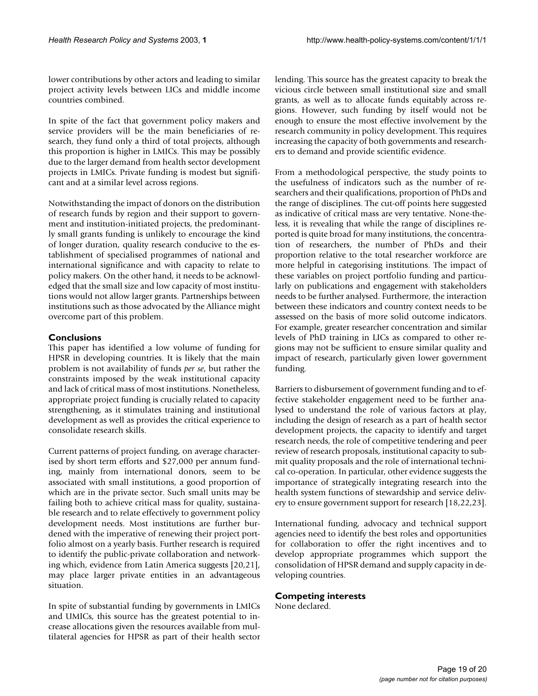lower contributions by other actors and leading to similar project activity levels between LICs and middle income countries combined.

In spite of the fact that government policy makers and service providers will be the main beneficiaries of research, they fund only a third of total projects, although this proportion is higher in LMICs. This may be possibly due to the larger demand from health sector development projects in LMICs. Private funding is modest but significant and at a similar level across regions.

Notwithstanding the impact of donors on the distribution of research funds by region and their support to government and institution-initiated projects, the predominantly small grants funding is unlikely to encourage the kind of longer duration, quality research conducive to the establishment of specialised programmes of national and international significance and with capacity to relate to policy makers. On the other hand, it needs to be acknowledged that the small size and low capacity of most institutions would not allow larger grants. Partnerships between institutions such as those advocated by the Alliance might overcome part of this problem.

## **Conclusions**

This paper has identified a low volume of funding for HPSR in developing countries. It is likely that the main problem is not availability of funds *per se*, but rather the constraints imposed by the weak institutional capacity and lack of critical mass of most institutions. Nonetheless, appropriate project funding is crucially related to capacity strengthening, as it stimulates training and institutional development as well as provides the critical experience to consolidate research skills.

Current patterns of project funding, on average characterised by short term efforts and \$27,000 per annum funding, mainly from international donors, seem to be associated with small institutions, a good proportion of which are in the private sector. Such small units may be failing both to achieve critical mass for quality, sustainable research and to relate effectively to government policy development needs. Most institutions are further burdened with the imperative of renewing their project portfolio almost on a yearly basis. Further research is required to identify the public-private collaboration and networking which, evidence from Latin America suggests [20,21], may place larger private entities in an advantageous situation.

In spite of substantial funding by governments in LMICs and UMICs, this source has the greatest potential to increase allocations given the resources available from multilateral agencies for HPSR as part of their health sector lending. This source has the greatest capacity to break the vicious circle between small institutional size and small grants, as well as to allocate funds equitably across regions. However, such funding by itself would not be enough to ensure the most effective involvement by the research community in policy development. This requires increasing the capacity of both governments and researchers to demand and provide scientific evidence.

From a methodological perspective, the study points to the usefulness of indicators such as the number of researchers and their qualifications, proportion of PhDs and the range of disciplines. The cut-off points here suggested as indicative of critical mass are very tentative. None-theless, it is revealing that while the range of disciplines reported is quite broad for many institutions, the concentration of researchers, the number of PhDs and their proportion relative to the total researcher workforce are more helpful in categorising institutions. The impact of these variables on project portfolio funding and particularly on publications and engagement with stakeholders needs to be further analysed. Furthermore, the interaction between these indicators and country context needs to be assessed on the basis of more solid outcome indicators. For example, greater researcher concentration and similar levels of PhD training in LICs as compared to other regions may not be sufficient to ensure similar quality and impact of research, particularly given lower government funding.

Barriers to disbursement of government funding and to effective stakeholder engagement need to be further analysed to understand the role of various factors at play, including the design of research as a part of health sector development projects, the capacity to identify and target research needs, the role of competitive tendering and peer review of research proposals, institutional capacity to submit quality proposals and the role of international technical co-operation. In particular, other evidence suggests the importance of strategically integrating research into the health system functions of stewardship and service delivery to ensure government support for research [18,22,23].

International funding, advocacy and technical support agencies need to identify the best roles and opportunities for collaboration to offer the right incentives and to develop appropriate programmes which support the consolidation of HPSR demand and supply capacity in developing countries.

## **Competing interests**

None declared.